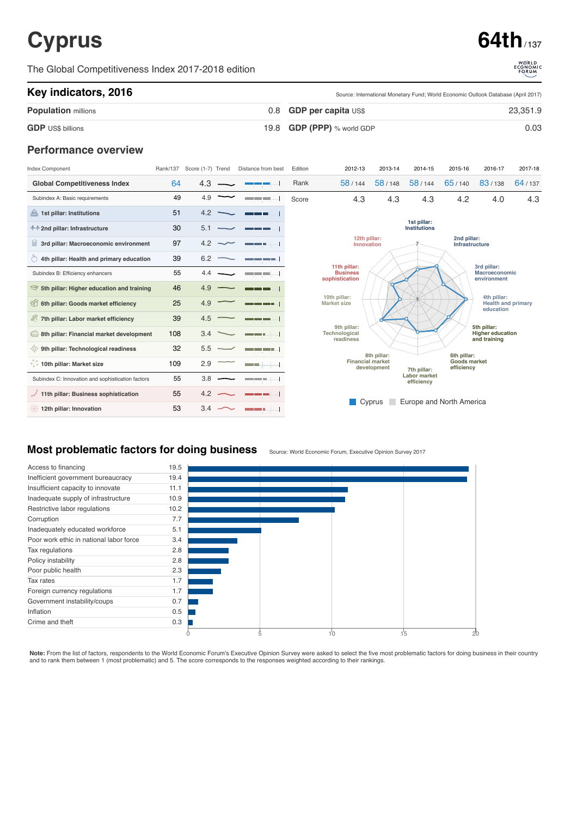# **Cyprus 64th**

The Global Competitiveness Index 2017-2018 edition



Source: International Monetary Fund; World Economic Outlook Database (April 2017)

#### **Key indicators, 2016**

|                             | <u> Odiroo: intornational monotary Fund, Wond Economic Oditoon Database (Nphil Ecrif)</u> |          |  |  |
|-----------------------------|-------------------------------------------------------------------------------------------|----------|--|--|
| <b>Population millions</b>  | $0.8$ GDP per capita $\cup$ S\$                                                           | 23,351.9 |  |  |
| <b>GDP</b> US\$ billions    | 19.8 $GDP$ (PPP) % world GDP                                                              | 0.03     |  |  |
| <b>Performance overview</b> |                                                                                           |          |  |  |

| Index Component                                         | Rank/137 | Score (1-7) Trend | Distance from best        | Edition                    | 2012-13                                                                                                           | 2013-14 | 2014-15 | 2015-16                                               | 2016-17                                                | 2017-18 |  |
|---------------------------------------------------------|----------|-------------------|---------------------------|----------------------------|-------------------------------------------------------------------------------------------------------------------|---------|---------|-------------------------------------------------------|--------------------------------------------------------|---------|--|
| <b>Global Competitiveness Index</b>                     | 64       | 4.3               |                           | Rank                       | 58/144                                                                                                            | 58/148  | 58/144  | 65/140                                                | 83/138                                                 | 64/137  |  |
| Subindex A: Basic requirements                          | 49       | 4.9               | and the state of the con- | Score                      | 4.3                                                                                                               | 4.3     | 4.3     | 4.2                                                   | 4.0                                                    | 4.3     |  |
| 1st pillar: Institutions                                | 51       | 4.2               |                           |                            |                                                                                                                   |         |         |                                                       |                                                        |         |  |
| <b>↑↑ 2nd pillar: Infrastructure</b>                    | 30       | 5.1               |                           |                            | 1st pillar:<br>Institutions                                                                                       |         |         |                                                       |                                                        |         |  |
| 3rd pillar: Macroeconomic environment                   | 97       | 4.2               |                           | 12th pillar:<br>Innovation |                                                                                                                   |         |         |                                                       | 2nd pillar:<br>Infrastructure                          |         |  |
| $\circ$ 4th pillar: Health and primary education        | 39       | 6.2               | --                        |                            |                                                                                                                   |         |         |                                                       |                                                        |         |  |
| Subindex B: Efficiency enhancers                        | 55       | 4.4               | <u> De Barbara</u>        |                            | 11th pillar:<br><b>Business</b><br>sophistication                                                                 |         |         |                                                       | 3rd pillar:<br>Macroeconomic<br>environment            |         |  |
| $\mathcal{F}$ 5th pillar: Higher education and training | 46       | 4.9               |                           |                            |                                                                                                                   |         |         |                                                       |                                                        |         |  |
| 6th pillar: Goods market efficiency                     | 25       | 4.9               |                           |                            | 10th pillar:<br><b>Market size</b>                                                                                |         |         | 4th pillar:<br><b>Health and primary</b><br>education |                                                        |         |  |
| 7th pillar: Labor market efficiency                     | 39       | 4.5               |                           |                            |                                                                                                                   |         |         |                                                       |                                                        |         |  |
| 8th pillar: Financial market development                | 108      | 3.4               | - 1                       |                            | 9th pillar:<br>Technological<br>readiness                                                                         |         |         |                                                       | 5th pillar:<br><b>Higher education</b><br>and training |         |  |
| <b>Solution</b> 9th pillar: Technological readiness     | 32       | 5.5               | ___                       |                            |                                                                                                                   |         |         |                                                       |                                                        |         |  |
| € 10th pillar: Market size                              | 109      | 2.9               | and the state             |                            | 8th pillar:<br>6th pillar:<br><b>Financial market</b><br>Goods market<br>development<br>efficiency<br>7th pillar: |         |         |                                                       |                                                        |         |  |
| Subindex C: Innovation and sophistication factors       | 55       | 3.8               | <b>Contract Contract</b>  |                            | <b>Labor market</b><br>efficiency                                                                                 |         |         |                                                       |                                                        |         |  |
| 11th pillar: Business sophistication                    | 55       | 4.2               | <b>Contract Contract</b>  |                            |                                                                                                                   |         |         |                                                       |                                                        |         |  |
| 12th pillar: Innovation                                 | 53       | 3.4               |                           |                            | Europe and North America<br>Cyprus                                                                                |         |         |                                                       |                                                        |         |  |

### **Most problematic factors for doing business**

Source: World Economic Forum, Executive Opinion Survey 2017



Note: From the list of factors, respondents to the World Economic Forum's Executive Opinion Survey were asked to select the five most problematic factors for doing business in their country and to rank them between 1 (most problematic) and 5. The score corresponds to the responses weighted according to their rankings.